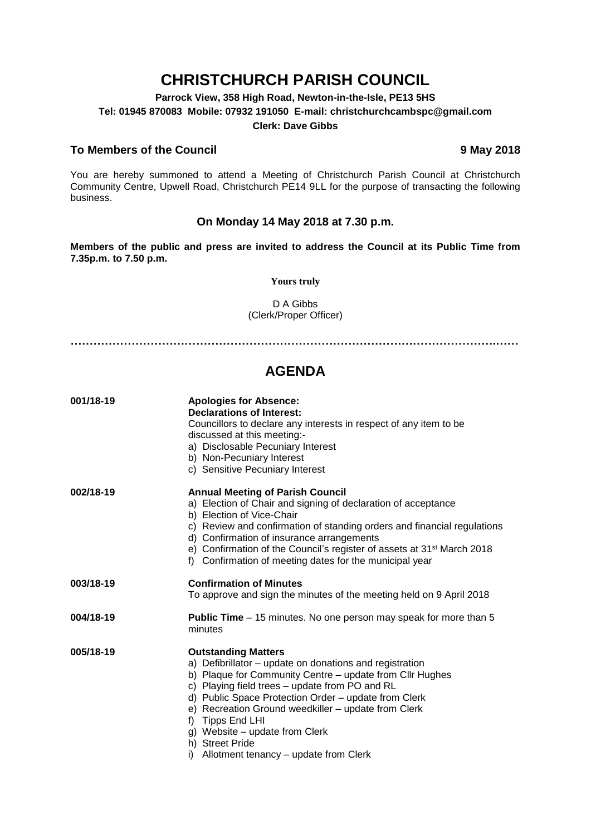# **CHRISTCHURCH PARISH COUNCIL**

**Parrock View, 358 High Road, Newton-in-the-Isle, PE13 5HS Tel: 01945 870083 Mobile: 07932 191050 E-mail: christchurchcambspc@gmail.com Clerk: Dave Gibbs**

# **To Members of the Council 9 May 2018**

You are hereby summoned to attend a Meeting of Christchurch Parish Council at Christchurch Community Centre, Upwell Road, Christchurch PE14 9LL for the purpose of transacting the following business.

## **On Monday 14 May 2018 at 7.30 p.m.**

**Members of the public and press are invited to address the Council at its Public Time from 7.35p.m. to 7.50 p.m.** 

### **Yours truly**

D A Gibbs (Clerk/Proper Officer)

**………………………………………………………………………………………………….……**

# **AGENDA**

| 001/18-19 | <b>Apologies for Absence:</b><br><b>Declarations of Interest:</b><br>Councillors to declare any interests in respect of any item to be<br>discussed at this meeting:-<br>a) Disclosable Pecuniary Interest<br>b) Non-Pecuniary Interest<br>c) Sensitive Pecuniary Interest                                                                                                                                                              |
|-----------|-----------------------------------------------------------------------------------------------------------------------------------------------------------------------------------------------------------------------------------------------------------------------------------------------------------------------------------------------------------------------------------------------------------------------------------------|
| 002/18-19 | <b>Annual Meeting of Parish Council</b><br>a) Election of Chair and signing of declaration of acceptance<br>b) Election of Vice-Chair<br>c) Review and confirmation of standing orders and financial regulations<br>d) Confirmation of insurance arrangements<br>e) Confirmation of the Council's register of assets at 31 <sup>st</sup> March 2018<br>f) Confirmation of meeting dates for the municipal year                          |
| 003/18-19 | <b>Confirmation of Minutes</b><br>To approve and sign the minutes of the meeting held on 9 April 2018                                                                                                                                                                                                                                                                                                                                   |
| 004/18-19 | <b>Public Time</b> – 15 minutes. No one person may speak for more than 5<br>minutes                                                                                                                                                                                                                                                                                                                                                     |
| 005/18-19 | <b>Outstanding Matters</b><br>a) Defibrillator - update on donations and registration<br>b) Plaque for Community Centre - update from Cllr Hughes<br>c) Playing field trees - update from PO and RL<br>d) Public Space Protection Order - update from Clerk<br>e) Recreation Ground weedkiller - update from Clerk<br>f) Tipps End LHI<br>g) Website – update from Clerk<br>h) Street Pride<br>i) Allotment tenancy – update from Clerk |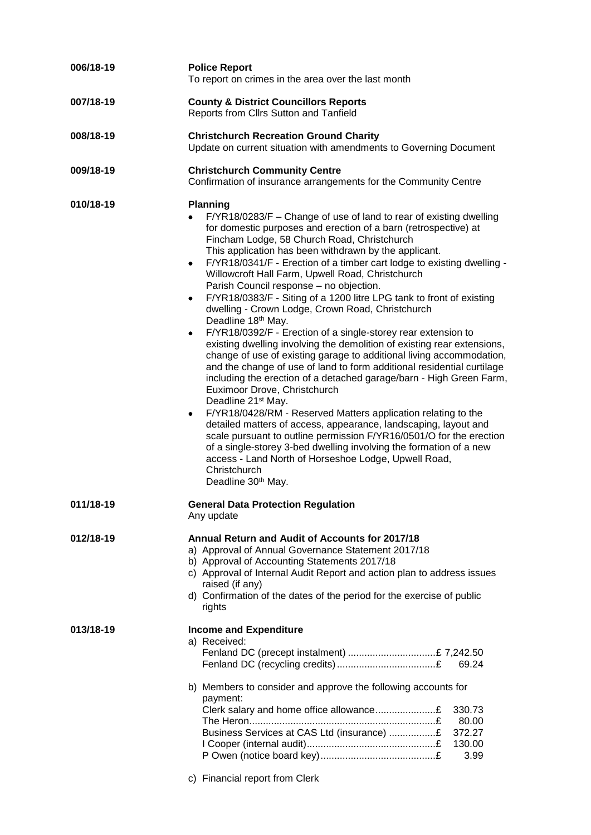| 006/18-19 | <b>Police Report</b><br>To report on crimes in the area over the last month                                                                                                                                                                                                                                                                                                                                                                                                                                                                                                                                                                                                                                                                                                                                                                                                                                                                                                                                                                                                                                                                                                                                                                                                                                                                                                                                                                                                            |
|-----------|----------------------------------------------------------------------------------------------------------------------------------------------------------------------------------------------------------------------------------------------------------------------------------------------------------------------------------------------------------------------------------------------------------------------------------------------------------------------------------------------------------------------------------------------------------------------------------------------------------------------------------------------------------------------------------------------------------------------------------------------------------------------------------------------------------------------------------------------------------------------------------------------------------------------------------------------------------------------------------------------------------------------------------------------------------------------------------------------------------------------------------------------------------------------------------------------------------------------------------------------------------------------------------------------------------------------------------------------------------------------------------------------------------------------------------------------------------------------------------------|
| 007/18-19 | <b>County &amp; District Councillors Reports</b><br>Reports from Cllrs Sutton and Tanfield                                                                                                                                                                                                                                                                                                                                                                                                                                                                                                                                                                                                                                                                                                                                                                                                                                                                                                                                                                                                                                                                                                                                                                                                                                                                                                                                                                                             |
| 008/18-19 | <b>Christchurch Recreation Ground Charity</b><br>Update on current situation with amendments to Governing Document                                                                                                                                                                                                                                                                                                                                                                                                                                                                                                                                                                                                                                                                                                                                                                                                                                                                                                                                                                                                                                                                                                                                                                                                                                                                                                                                                                     |
| 009/18-19 | <b>Christchurch Community Centre</b><br>Confirmation of insurance arrangements for the Community Centre                                                                                                                                                                                                                                                                                                                                                                                                                                                                                                                                                                                                                                                                                                                                                                                                                                                                                                                                                                                                                                                                                                                                                                                                                                                                                                                                                                                |
| 010/18-19 | <b>Planning</b><br>F/YR18/0283/F – Change of use of land to rear of existing dwelling<br>$\bullet$<br>for domestic purposes and erection of a barn (retrospective) at<br>Fincham Lodge, 58 Church Road, Christchurch<br>This application has been withdrawn by the applicant.<br>F/YR18/0341/F - Erection of a timber cart lodge to existing dwelling -<br>$\bullet$<br>Willowcroft Hall Farm, Upwell Road, Christchurch<br>Parish Council response - no objection.<br>F/YR18/0383/F - Siting of a 1200 litre LPG tank to front of existing<br>$\bullet$<br>dwelling - Crown Lodge, Crown Road, Christchurch<br>Deadline 18th May.<br>F/YR18/0392/F - Erection of a single-storey rear extension to<br>$\bullet$<br>existing dwelling involving the demolition of existing rear extensions,<br>change of use of existing garage to additional living accommodation,<br>and the change of use of land to form additional residential curtilage<br>including the erection of a detached garage/barn - High Green Farm,<br>Euximoor Drove, Christchurch<br>Deadline 21 <sup>st</sup> May.<br>F/YR18/0428/RM - Reserved Matters application relating to the<br>٠<br>detailed matters of access, appearance, landscaping, layout and<br>scale pursuant to outline permission F/YR16/0501/O for the erection<br>of a single-storey 3-bed dwelling involving the formation of a new<br>access - Land North of Horseshoe Lodge, Upwell Road,<br>Christchurch<br>Deadline 30 <sup>th</sup> May. |
| 011/18-19 | <b>General Data Protection Regulation</b><br>Any update                                                                                                                                                                                                                                                                                                                                                                                                                                                                                                                                                                                                                                                                                                                                                                                                                                                                                                                                                                                                                                                                                                                                                                                                                                                                                                                                                                                                                                |
| 012/18-19 | Annual Return and Audit of Accounts for 2017/18<br>a) Approval of Annual Governance Statement 2017/18<br>b) Approval of Accounting Statements 2017/18<br>c) Approval of Internal Audit Report and action plan to address issues<br>raised (if any)<br>d) Confirmation of the dates of the period for the exercise of public<br>rights                                                                                                                                                                                                                                                                                                                                                                                                                                                                                                                                                                                                                                                                                                                                                                                                                                                                                                                                                                                                                                                                                                                                                  |
| 013/18-19 | <b>Income and Expenditure</b><br>a) Received:<br>69.24                                                                                                                                                                                                                                                                                                                                                                                                                                                                                                                                                                                                                                                                                                                                                                                                                                                                                                                                                                                                                                                                                                                                                                                                                                                                                                                                                                                                                                 |
|           | b) Members to consider and approve the following accounts for<br>payment:<br>330.73<br>80.00<br>Business Services at CAS Ltd (insurance) £<br>372.27<br>130.00<br>3.99<br>c) Financial report from Clerk                                                                                                                                                                                                                                                                                                                                                                                                                                                                                                                                                                                                                                                                                                                                                                                                                                                                                                                                                                                                                                                                                                                                                                                                                                                                               |